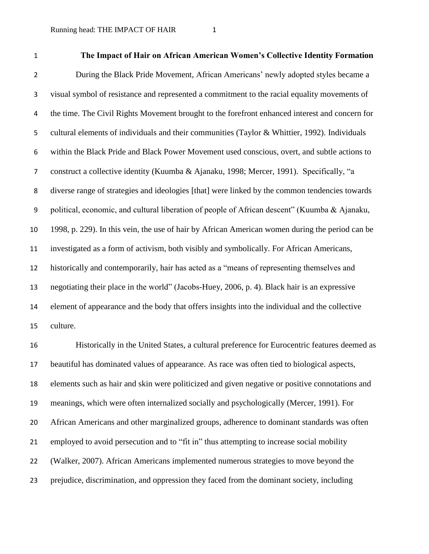| $\mathbf 1$    | The Impact of Hair on African American Women's Collective Identity Formation                    |
|----------------|-------------------------------------------------------------------------------------------------|
| $\overline{2}$ | During the Black Pride Movement, African Americans' newly adopted styles became a               |
| 3              | visual symbol of resistance and represented a commitment to the racial equality movements of    |
| 4              | the time. The Civil Rights Movement brought to the forefront enhanced interest and concern for  |
| 5              | cultural elements of individuals and their communities (Taylor & Whittier, 1992). Individuals   |
| 6              | within the Black Pride and Black Power Movement used conscious, overt, and subtle actions to    |
| $\overline{7}$ | construct a collective identity (Kuumba & Ajanaku, 1998; Mercer, 1991). Specifically, "a        |
| 8              | diverse range of strategies and ideologies [that] were linked by the common tendencies towards  |
| 9              | political, economic, and cultural liberation of people of African descent" (Kuumba & Ajanaku,   |
| 10             | 1998, p. 229). In this vein, the use of hair by African American women during the period can be |
| 11             | investigated as a form of activism, both visibly and symbolically. For African Americans,       |
| 12             | historically and contemporarily, hair has acted as a "means of representing themselves and      |
| 13             | negotiating their place in the world" (Jacobs-Huey, 2006, p. 4). Black hair is an expressive    |
| 14             | element of appearance and the body that offers insights into the individual and the collective  |
| 15             | culture.                                                                                        |

 Historically in the United States, a cultural preference for Eurocentric features deemed as beautiful has dominated values of appearance. As race was often tied to biological aspects, elements such as hair and skin were politicized and given negative or positive connotations and meanings, which were often internalized socially and psychologically (Mercer, 1991). For African Americans and other marginalized groups, adherence to dominant standards was often employed to avoid persecution and to "fit in" thus attempting to increase social mobility (Walker, 2007). African Americans implemented numerous strategies to move beyond the prejudice, discrimination, and oppression they faced from the dominant society, including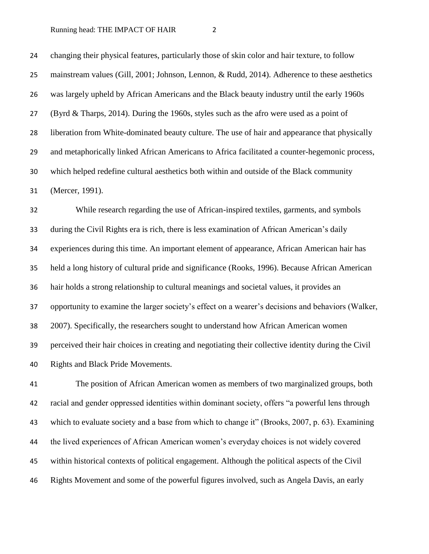changing their physical features, particularly those of skin color and hair texture, to follow mainstream values (Gill, 2001; Johnson, Lennon, & Rudd, 2014). Adherence to these aesthetics was largely upheld by African Americans and the Black beauty industry until the early 1960s (Byrd & Tharps, 2014). During the 1960s, styles such as the afro were used as a point of liberation from White-dominated beauty culture. The use of hair and appearance that physically and metaphorically linked African Americans to Africa facilitated a counter-hegemonic process, which helped redefine cultural aesthetics both within and outside of the Black community (Mercer, 1991).

 While research regarding the use of African-inspired textiles, garments, and symbols during the Civil Rights era is rich, there is less examination of African American's daily experiences during this time. An important element of appearance, African American hair has held a long history of cultural pride and significance (Rooks, 1996). Because African American hair holds a strong relationship to cultural meanings and societal values, it provides an opportunity to examine the larger society's effect on a wearer's decisions and behaviors (Walker, 2007). Specifically, the researchers sought to understand how African American women perceived their hair choices in creating and negotiating their collective identity during the Civil Rights and Black Pride Movements.

 The position of African American women as members of two marginalized groups, both racial and gender oppressed identities within dominant society, offers "a powerful lens through which to evaluate society and a base from which to change it" (Brooks, 2007, p. 63). Examining the lived experiences of African American women's everyday choices is not widely covered within historical contexts of political engagement. Although the political aspects of the Civil Rights Movement and some of the powerful figures involved, such as Angela Davis, an early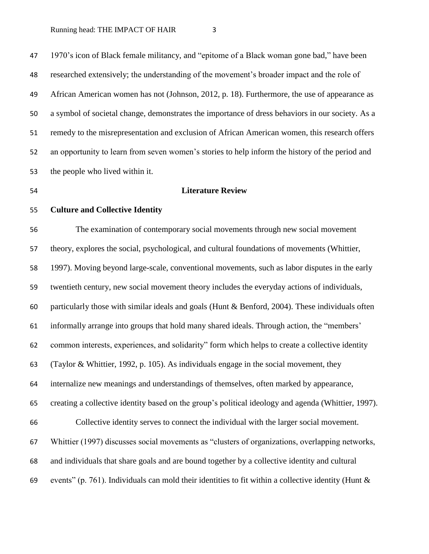1970's icon of Black female militancy, and "epitome of a Black woman gone bad," have been researched extensively; the understanding of the movement's broader impact and the role of African American women has not (Johnson, 2012, p. 18). Furthermore, the use of appearance as a symbol of societal change, demonstrates the importance of dress behaviors in our society. As a remedy to the misrepresentation and exclusion of African American women, this research offers an opportunity to learn from seven women's stories to help inform the history of the period and the people who lived within it.

### **Literature Review**

# **Culture and Collective Identity**

 The examination of contemporary social movements through new social movement theory, explores the social, psychological, and cultural foundations of movements (Whittier, 1997). Moving beyond large-scale, conventional movements, such as labor disputes in the early twentieth century, new social movement theory includes the everyday actions of individuals, particularly those with similar ideals and goals (Hunt & Benford, 2004). These individuals often informally arrange into groups that hold many shared ideals. Through action, the "members' common interests, experiences, and solidarity" form which helps to create a collective identity (Taylor & Whittier, 1992, p. 105). As individuals engage in the social movement, they internalize new meanings and understandings of themselves, often marked by appearance, creating a collective identity based on the group's political ideology and agenda (Whittier, 1997). Collective identity serves to connect the individual with the larger social movement. Whittier (1997) discusses social movements as "clusters of organizations, overlapping networks, and individuals that share goals and are bound together by a collective identity and cultural 69 events" (p. 761). Individuals can mold their identities to fit within a collective identity (Hunt  $\&$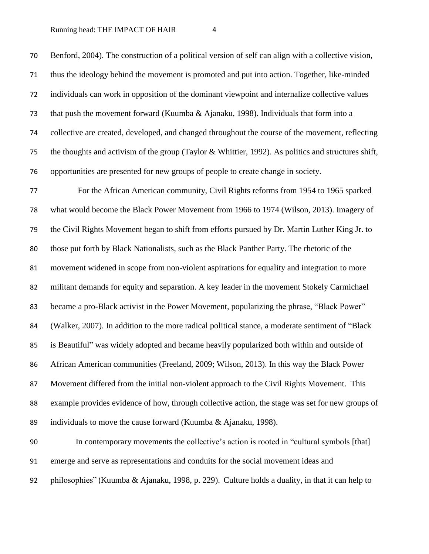Benford, 2004). The construction of a political version of self can align with a collective vision, thus the ideology behind the movement is promoted and put into action. Together, like-minded individuals can work in opposition of the dominant viewpoint and internalize collective values that push the movement forward (Kuumba & Ajanaku, 1998). Individuals that form into a collective are created, developed, and changed throughout the course of the movement, reflecting the thoughts and activism of the group (Taylor & Whittier, 1992). As politics and structures shift, opportunities are presented for new groups of people to create change in society. For the African American community, Civil Rights reforms from 1954 to 1965 sparked what would become the Black Power Movement from 1966 to 1974 (Wilson, 2013). Imagery of the Civil Rights Movement began to shift from efforts pursued by Dr. Martin Luther King Jr. to

movement widened in scope from non-violent aspirations for equality and integration to more

those put forth by Black Nationalists, such as the Black Panther Party. The rhetoric of the

militant demands for equity and separation. A key leader in the movement Stokely Carmichael

became a pro-Black activist in the Power Movement, popularizing the phrase, "Black Power"

84 (Walker, 2007). In addition to the more radical political stance, a moderate sentiment of "Black"

is Beautiful" was widely adopted and became heavily popularized both within and outside of

 African American communities (Freeland, 2009; Wilson, 2013). In this way the Black Power Movement differed from the initial non-violent approach to the Civil Rights Movement. This

 example provides evidence of how, through collective action, the stage was set for new groups of individuals to move the cause forward (Kuumba & Ajanaku, 1998).

 In contemporary movements the collective's action is rooted in "cultural symbols [that] emerge and serve as representations and conduits for the social movement ideas and philosophies" (Kuumba & Ajanaku, 1998, p. 229). Culture holds a duality, in that it can help to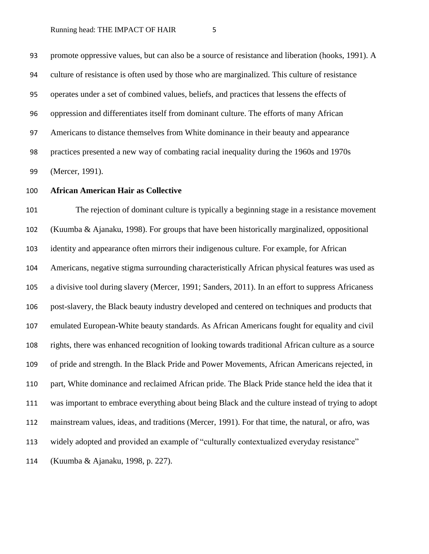promote oppressive values, but can also be a source of resistance and liberation (hooks, 1991). A culture of resistance is often used by those who are marginalized. This culture of resistance operates under a set of combined values, beliefs, and practices that lessens the effects of oppression and differentiates itself from dominant culture. The efforts of many African Americans to distance themselves from White dominance in their beauty and appearance practices presented a new way of combating racial inequality during the 1960s and 1970s (Mercer, 1991).

# **African American Hair as Collective**

 The rejection of dominant culture is typically a beginning stage in a resistance movement (Kuumba & Ajanaku, 1998). For groups that have been historically marginalized, oppositional identity and appearance often mirrors their indigenous culture. For example, for African Americans, negative stigma surrounding characteristically African physical features was used as a divisive tool during slavery (Mercer, 1991; Sanders, 2011). In an effort to suppress Africaness post-slavery, the Black beauty industry developed and centered on techniques and products that emulated European-White beauty standards. As African Americans fought for equality and civil rights, there was enhanced recognition of looking towards traditional African culture as a source of pride and strength. In the Black Pride and Power Movements, African Americans rejected, in part, White dominance and reclaimed African pride. The Black Pride stance held the idea that it was important to embrace everything about being Black and the culture instead of trying to adopt mainstream values, ideas, and traditions (Mercer, 1991). For that time, the natural, or afro, was widely adopted and provided an example of "culturally contextualized everyday resistance" (Kuumba & Ajanaku, 1998, p. 227).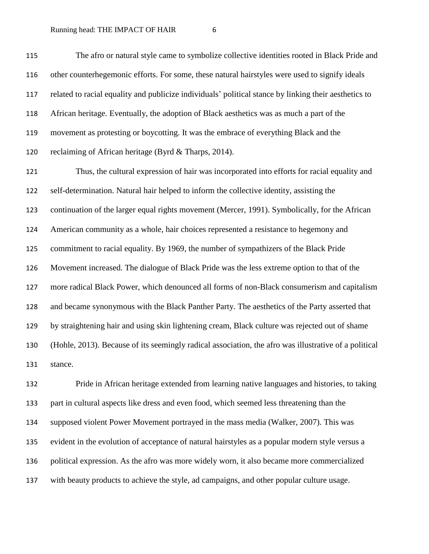The afro or natural style came to symbolize collective identities rooted in Black Pride and other counterhegemonic efforts. For some, these natural hairstyles were used to signify ideals related to racial equality and publicize individuals' political stance by linking their aesthetics to African heritage. Eventually, the adoption of Black aesthetics was as much a part of the movement as protesting or boycotting. It was the embrace of everything Black and the reclaiming of African heritage (Byrd & Tharps, 2014).

 Thus, the cultural expression of hair was incorporated into efforts for racial equality and self-determination. Natural hair helped to inform the collective identity, assisting the continuation of the larger equal rights movement (Mercer, 1991). Symbolically, for the African American community as a whole, hair choices represented a resistance to hegemony and commitment to racial equality. By 1969, the number of sympathizers of the Black Pride Movement increased. The dialogue of Black Pride was the less extreme option to that of the more radical Black Power, which denounced all forms of non-Black consumerism and capitalism and became synonymous with the Black Panther Party. The aesthetics of the Party asserted that by straightening hair and using skin lightening cream, Black culture was rejected out of shame (Hohle, 2013). Because of its seemingly radical association, the afro was illustrative of a political stance.

 Pride in African heritage extended from learning native languages and histories, to taking part in cultural aspects like dress and even food, which seemed less threatening than the supposed violent Power Movement portrayed in the mass media (Walker, 2007). This was evident in the evolution of acceptance of natural hairstyles as a popular modern style versus a political expression. As the afro was more widely worn, it also became more commercialized with beauty products to achieve the style, ad campaigns, and other popular culture usage.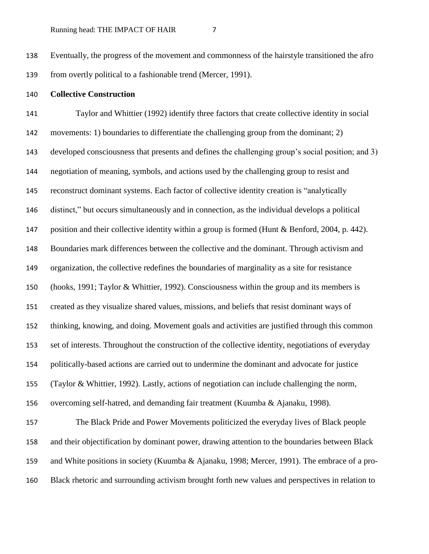Eventually, the progress of the movement and commonness of the hairstyle transitioned the afro from overtly political to a fashionable trend (Mercer, 1991).

# **Collective Construction**

 Taylor and Whittier (1992) identify three factors that create collective identity in social movements: 1) boundaries to differentiate the challenging group from the dominant; 2) developed consciousness that presents and defines the challenging group's social position; and 3) negotiation of meaning, symbols, and actions used by the challenging group to resist and reconstruct dominant systems. Each factor of collective identity creation is "analytically distinct," but occurs simultaneously and in connection, as the individual develops a political 147 position and their collective identity within a group is formed (Hunt & Benford, 2004, p. 442). Boundaries mark differences between the collective and the dominant. Through activism and organization, the collective redefines the boundaries of marginality as a site for resistance (hooks, 1991; Taylor & Whittier, 1992). Consciousness within the group and its members is created as they visualize shared values, missions, and beliefs that resist dominant ways of thinking, knowing, and doing. Movement goals and activities are justified through this common set of interests. Throughout the construction of the collective identity, negotiations of everyday politically-based actions are carried out to undermine the dominant and advocate for justice (Taylor & Whittier, 1992). Lastly, actions of negotiation can include challenging the norm, overcoming self-hatred, and demanding fair treatment (Kuumba & Ajanaku, 1998). The Black Pride and Power Movements politicized the everyday lives of Black people and their objectification by dominant power, drawing attention to the boundaries between Black and White positions in society (Kuumba & Ajanaku, 1998; Mercer, 1991). The embrace of a pro-

Black rhetoric and surrounding activism brought forth new values and perspectives in relation to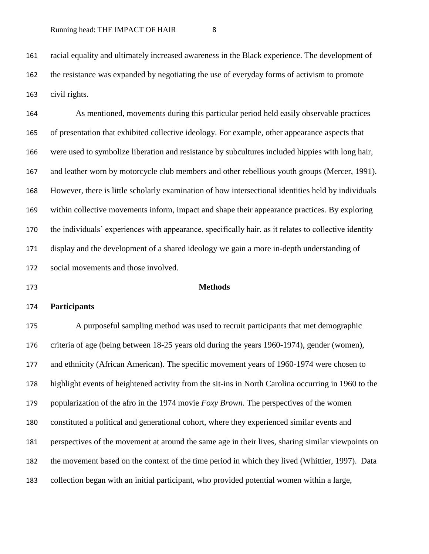racial equality and ultimately increased awareness in the Black experience. The development of the resistance was expanded by negotiating the use of everyday forms of activism to promote civil rights.

 As mentioned, movements during this particular period held easily observable practices of presentation that exhibited collective ideology. For example, other appearance aspects that were used to symbolize liberation and resistance by subcultures included hippies with long hair, 167 and leather worn by motorcycle club members and other rebellious youth groups (Mercer, 1991). However, there is little scholarly examination of how intersectional identities held by individuals within collective movements inform, impact and shape their appearance practices. By exploring the individuals' experiences with appearance, specifically hair, as it relates to collective identity display and the development of a shared ideology we gain a more in-depth understanding of social movements and those involved.

**Methods** 

### **Participants**

 A purposeful sampling method was used to recruit participants that met demographic criteria of age (being between 18-25 years old during the years 1960-1974), gender (women), and ethnicity (African American). The specific movement years of 1960-1974 were chosen to highlight events of heightened activity from the sit-ins in North Carolina occurring in 1960 to the popularization of the afro in the 1974 movie *Foxy Brown*. The perspectives of the women constituted a political and generational cohort, where they experienced similar events and perspectives of the movement at around the same age in their lives, sharing similar viewpoints on the movement based on the context of the time period in which they lived (Whittier, 1997). Data collection began with an initial participant, who provided potential women within a large,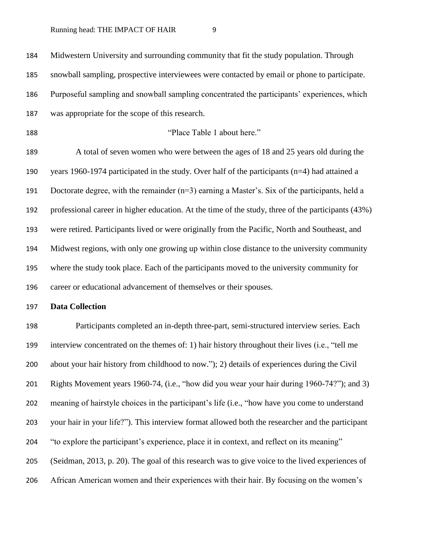Midwestern University and surrounding community that fit the study population. Through snowball sampling, prospective interviewees were contacted by email or phone to participate. Purposeful sampling and snowball sampling concentrated the participants' experiences, which was appropriate for the scope of this research. "Place Table 1 about here." A total of seven women who were between the ages of 18 and 25 years old during the years 1960-1974 participated in the study. Over half of the participants (n=4) had attained a Doctorate degree, with the remainder (n=3) earning a Master's. Six of the participants, held a professional career in higher education. At the time of the study, three of the participants (43%) were retired. Participants lived or were originally from the Pacific, North and Southeast, and Midwest regions, with only one growing up within close distance to the university community where the study took place. Each of the participants moved to the university community for career or educational advancement of themselves or their spouses. **Data Collection** Participants completed an in-depth three-part, semi-structured interview series. Each interview concentrated on the themes of: 1) hair history throughout their lives (i.e., "tell me about your hair history from childhood to now."); 2) details of experiences during the Civil Rights Movement years 1960-74, (i.e., "how did you wear your hair during 1960-74?"); and 3) meaning of hairstyle choices in the participant's life (i.e., "how have you come to understand your hair in your life?"). This interview format allowed both the researcher and the participant "to explore the participant's experience, place it in context, and reflect on its meaning" (Seidman, 2013, p. 20). The goal of this research was to give voice to the lived experiences of African American women and their experiences with their hair. By focusing on the women's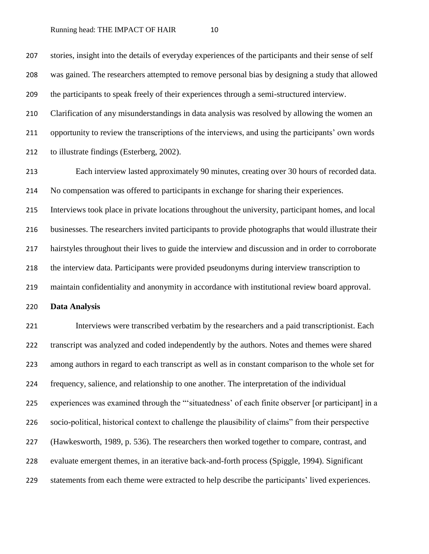stories, insight into the details of everyday experiences of the participants and their sense of self was gained. The researchers attempted to remove personal bias by designing a study that allowed the participants to speak freely of their experiences through a semi-structured interview.

 Clarification of any misunderstandings in data analysis was resolved by allowing the women an opportunity to review the transcriptions of the interviews, and using the participants' own words to illustrate findings (Esterberg, 2002).

 Each interview lasted approximately 90 minutes, creating over 30 hours of recorded data. No compensation was offered to participants in exchange for sharing their experiences.

 Interviews took place in private locations throughout the university, participant homes, and local businesses. The researchers invited participants to provide photographs that would illustrate their hairstyles throughout their lives to guide the interview and discussion and in order to corroborate the interview data. Participants were provided pseudonyms during interview transcription to maintain confidentiality and anonymity in accordance with institutional review board approval.

**Data Analysis**

 Interviews were transcribed verbatim by the researchers and a paid transcriptionist. Each transcript was analyzed and coded independently by the authors. Notes and themes were shared among authors in regard to each transcript as well as in constant comparison to the whole set for frequency, salience, and relationship to one another. The interpretation of the individual experiences was examined through the "'situatedness' of each finite observer [or participant] in a socio-political, historical context to challenge the plausibility of claims" from their perspective (Hawkesworth, 1989, p. 536). The researchers then worked together to compare, contrast, and evaluate emergent themes, in an iterative back-and-forth process (Spiggle, 1994). Significant statements from each theme were extracted to help describe the participants' lived experiences.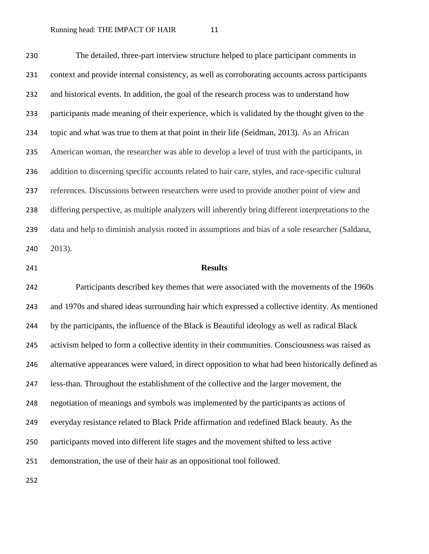The detailed, three-part interview structure helped to place participant comments in context and provide internal consistency, as well as corroborating accounts across participants and historical events. In addition, the goal of the research process was to understand how participants made meaning of their experience, which is validated by the thought given to the topic and what was true to them at that point in their life (Seidman, 2013). As an African American woman, the researcher was able to develop a level of trust with the participants, in addition to discerning specific accounts related to hair care, styles, and race-specific cultural references. Discussions between researchers were used to provide another point of view and differing perspective, as multiple analyzers will inherently bring different interpretations to the data and help to diminish analysis rooted in assumptions and bias of a sole researcher (Saldana, 2013).

## **Results**

 Participants described key themes that were associated with the movements of the 1960s and 1970s and shared ideas surrounding hair which expressed a collective identity. As mentioned by the participants, the influence of the Black is Beautiful ideology as well as radical Black activism helped to form a collective identity in their communities. Consciousness was raised as alternative appearances were valued, in direct opposition to what had been historically defined as less-than. Throughout the establishment of the collective and the larger movement, the negotiation of meanings and symbols was implemented by the participants as actions of everyday resistance related to Black Pride affirmation and redefined Black beauty. As the participants moved into different life stages and the movement shifted to less active demonstration, the use of their hair as an oppositional tool followed.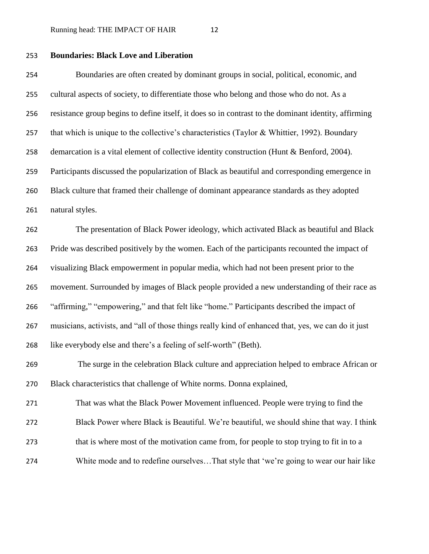# **Boundaries: Black Love and Liberation**

 Boundaries are often created by dominant groups in social, political, economic, and cultural aspects of society, to differentiate those who belong and those who do not. As a resistance group begins to define itself, it does so in contrast to the dominant identity, affirming 257 that which is unique to the collective's characteristics (Taylor & Whittier, 1992). Boundary demarcation is a vital element of collective identity construction (Hunt & Benford, 2004). Participants discussed the popularization of Black as beautiful and corresponding emergence in Black culture that framed their challenge of dominant appearance standards as they adopted natural styles.

 The presentation of Black Power ideology, which activated Black as beautiful and Black Pride was described positively by the women. Each of the participants recounted the impact of visualizing Black empowerment in popular media, which had not been present prior to the movement. Surrounded by images of Black people provided a new understanding of their race as "affirming," "empowering," and that felt like "home." Participants described the impact of musicians, activists, and "all of those things really kind of enhanced that, yes, we can do it just like everybody else and there's a feeling of self-worth" (Beth).

 The surge in the celebration Black culture and appreciation helped to embrace African or Black characteristics that challenge of White norms. Donna explained,

 That was what the Black Power Movement influenced. People were trying to find the Black Power where Black is Beautiful. We're beautiful, we should shine that way. I think

- that is where most of the motivation came from, for people to stop trying to fit in to a
- White mode and to redefine ourselves…That style that 'we're going to wear our hair like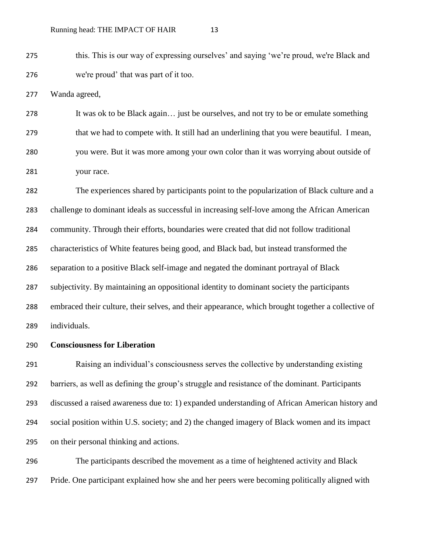this. This is our way of expressing ourselves' and saying 'we're proud, we're Black and we're proud' that was part of it too.

Wanda agreed,

 It was ok to be Black again… just be ourselves, and not try to be or emulate something that we had to compete with. It still had an underlining that you were beautiful. I mean, you were. But it was more among your own color than it was worrying about outside of your race.

 The experiences shared by participants point to the popularization of Black culture and a challenge to dominant ideals as successful in increasing self-love among the African American community. Through their efforts, boundaries were created that did not follow traditional characteristics of White features being good, and Black bad, but instead transformed the separation to a positive Black self-image and negated the dominant portrayal of Black subjectivity. By maintaining an oppositional identity to dominant society the participants embraced their culture, their selves, and their appearance, which brought together a collective of individuals.

# **Consciousness for Liberation**

 Raising an individual's consciousness serves the collective by understanding existing barriers, as well as defining the group's struggle and resistance of the dominant. Participants discussed a raised awareness due to: 1) expanded understanding of African American history and social position within U.S. society; and 2) the changed imagery of Black women and its impact on their personal thinking and actions.

 The participants described the movement as a time of heightened activity and Black Pride. One participant explained how she and her peers were becoming politically aligned with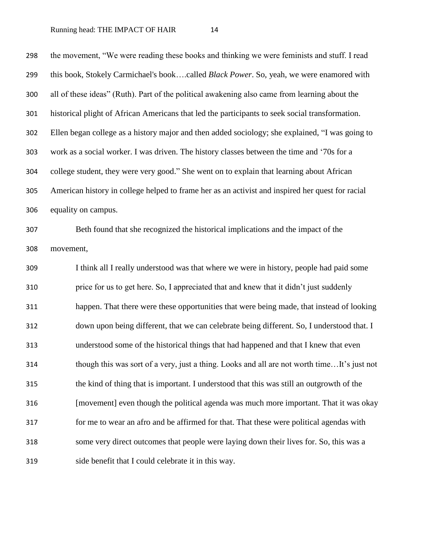the movement, "We were reading these books and thinking we were feminists and stuff. I read this book, Stokely Carmichael's book….called *Black Power*. So, yeah, we were enamored with all of these ideas" (Ruth). Part of the political awakening also came from learning about the historical plight of African Americans that led the participants to seek social transformation. Ellen began college as a history major and then added sociology; she explained, "I was going to work as a social worker. I was driven. The history classes between the time and '70s for a college student, they were very good." She went on to explain that learning about African American history in college helped to frame her as an activist and inspired her quest for racial equality on campus. Beth found that she recognized the historical implications and the impact of the movement,

 I think all I really understood was that where we were in history, people had paid some price for us to get here. So, I appreciated that and knew that it didn't just suddenly happen. That there were these opportunities that were being made, that instead of looking down upon being different, that we can celebrate being different. So, I understood that. I understood some of the historical things that had happened and that I knew that even though this was sort of a very, just a thing. Looks and all are not worth time…It's just not the kind of thing that is important. I understood that this was still an outgrowth of the [movement] even though the political agenda was much more important. That it was okay for me to wear an afro and be affirmed for that. That these were political agendas with some very direct outcomes that people were laying down their lives for. So, this was a side benefit that I could celebrate it in this way.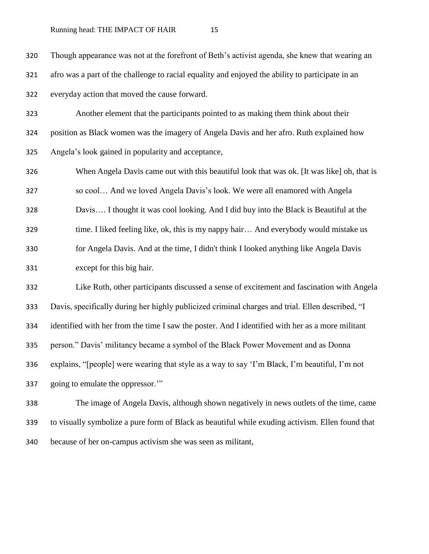Though appearance was not at the forefront of Beth's activist agenda, she knew that wearing an afro was a part of the challenge to racial equality and enjoyed the ability to participate in an everyday action that moved the cause forward. Another element that the participants pointed to as making them think about their position as Black women was the imagery of Angela Davis and her afro. Ruth explained how Angela's look gained in popularity and acceptance, When Angela Davis came out with this beautiful look that was ok. [It was like] oh, that is so cool… And we loved Angela Davis's look. We were all enamored with Angela Davis…. I thought it was cool looking. And I did buy into the Black is Beautiful at the time. I liked feeling like, ok, this is my nappy hair… And everybody would mistake us for Angela Davis. And at the time, I didn't think I looked anything like Angela Davis except for this big hair. Like Ruth, other participants discussed a sense of excitement and fascination with Angela Davis, specifically during her highly publicized criminal charges and trial. Ellen described, "I identified with her from the time I saw the poster. And I identified with her as a more militant person." Davis' militancy became a symbol of the Black Power Movement and as Donna explains, "[people] were wearing that style as a way to say 'I'm Black, I'm beautiful, I'm not going to emulate the oppressor.'" The image of Angela Davis, although shown negatively in news outlets of the time, came to visually symbolize a pure form of Black as beautiful while exuding activism. Ellen found that

because of her on-campus activism she was seen as militant,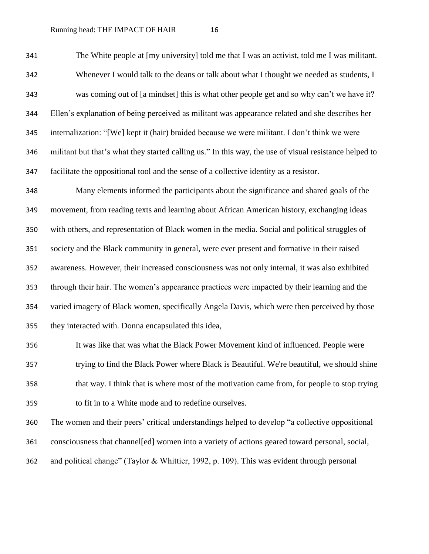The White people at [my university] told me that I was an activist, told me I was militant. Whenever I would talk to the deans or talk about what I thought we needed as students, I was coming out of [a mindset] this is what other people get and so why can't we have it? Ellen's explanation of being perceived as militant was appearance related and she describes her internalization: "[We] kept it (hair) braided because we were militant. I don't think we were militant but that's what they started calling us." In this way, the use of visual resistance helped to facilitate the oppositional tool and the sense of a collective identity as a resistor.

 Many elements informed the participants about the significance and shared goals of the movement, from reading texts and learning about African American history, exchanging ideas with others, and representation of Black women in the media. Social and political struggles of society and the Black community in general, were ever present and formative in their raised awareness. However, their increased consciousness was not only internal, it was also exhibited through their hair. The women's appearance practices were impacted by their learning and the varied imagery of Black women, specifically Angela Davis, which were then perceived by those they interacted with. Donna encapsulated this idea,

 It was like that was what the Black Power Movement kind of influenced. People were trying to find the Black Power where Black is Beautiful. We're beautiful, we should shine that way. I think that is where most of the motivation came from, for people to stop trying to fit in to a White mode and to redefine ourselves.

 The women and their peers' critical understandings helped to develop "a collective oppositional consciousness that channel[ed] women into a variety of actions geared toward personal, social, and political change" (Taylor & Whittier, 1992, p. 109). This was evident through personal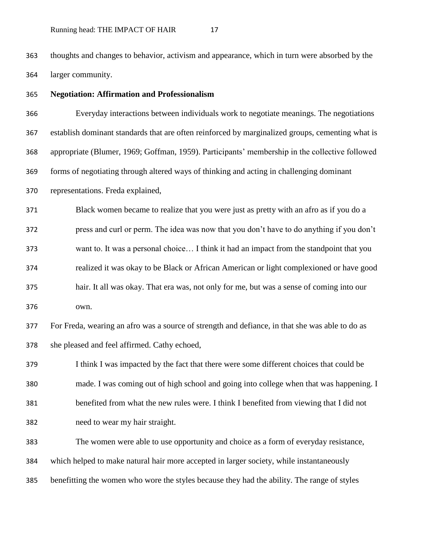thoughts and changes to behavior, activism and appearance, which in turn were absorbed by the larger community.

**Negotiation: Affirmation and Professionalism**

 Everyday interactions between individuals work to negotiate meanings. The negotiations establish dominant standards that are often reinforced by marginalized groups, cementing what is appropriate (Blumer, 1969; Goffman, 1959). Participants' membership in the collective followed forms of negotiating through altered ways of thinking and acting in challenging dominant representations. Freda explained,

 Black women became to realize that you were just as pretty with an afro as if you do a press and curl or perm. The idea was now that you don't have to do anything if you don't want to. It was a personal choice… I think it had an impact from the standpoint that you realized it was okay to be Black or African American or light complexioned or have good

 hair. It all was okay. That era was, not only for me, but was a sense of coming into our own.

 For Freda, wearing an afro was a source of strength and defiance, in that she was able to do as she pleased and feel affirmed. Cathy echoed,

 I think I was impacted by the fact that there were some different choices that could be made. I was coming out of high school and going into college when that was happening. I benefited from what the new rules were. I think I benefited from viewing that I did not need to wear my hair straight.

 The women were able to use opportunity and choice as a form of everyday resistance, which helped to make natural hair more accepted in larger society, while instantaneously benefitting the women who wore the styles because they had the ability. The range of styles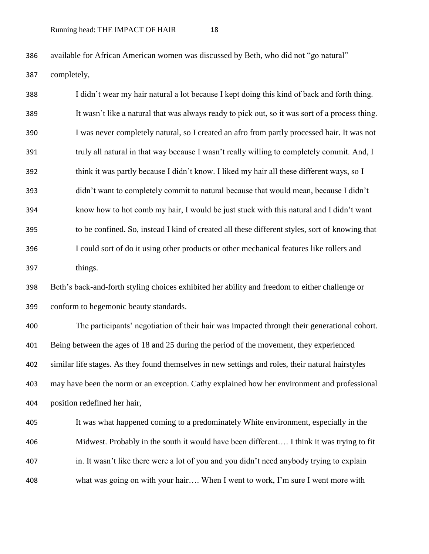available for African American women was discussed by Beth, who did not "go natural"

completely,

 I didn't wear my hair natural a lot because I kept doing this kind of back and forth thing. It wasn't like a natural that was always ready to pick out, so it was sort of a process thing. I was never completely natural, so I created an afro from partly processed hair. It was not 391 truly all natural in that way because I wasn't really willing to completely commit. And, I 392 think it was partly because I didn't know. I liked my hair all these different ways, so I didn't want to completely commit to natural because that would mean, because I didn't know how to hot comb my hair, I would be just stuck with this natural and I didn't want to be confined. So, instead I kind of created all these different styles, sort of knowing that I could sort of do it using other products or other mechanical features like rollers and things. Beth's back-and-forth styling choices exhibited her ability and freedom to either challenge or conform to hegemonic beauty standards. The participants' negotiation of their hair was impacted through their generational cohort. Being between the ages of 18 and 25 during the period of the movement, they experienced similar life stages. As they found themselves in new settings and roles, their natural hairstyles may have been the norm or an exception. Cathy explained how her environment and professional position redefined her hair, It was what happened coming to a predominately White environment, especially in the Midwest. Probably in the south it would have been different…. I think it was trying to fit in. It wasn't like there were a lot of you and you didn't need anybody trying to explain what was going on with your hair…. When I went to work, I'm sure I went more with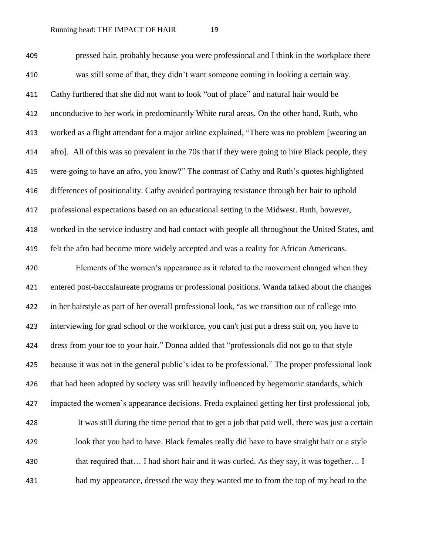pressed hair, probably because you were professional and I think in the workplace there was still some of that, they didn't want someone coming in looking a certain way. Cathy furthered that she did not want to look "out of place" and natural hair would be unconducive to her work in predominantly White rural areas. On the other hand, Ruth, who worked as a flight attendant for a major airline explained, "There was no problem [wearing an afro]. All of this was so prevalent in the 70s that if they were going to hire Black people, they were going to have an afro, you know?" The contrast of Cathy and Ruth's quotes highlighted differences of positionality. Cathy avoided portraying resistance through her hair to uphold professional expectations based on an educational setting in the Midwest. Ruth, however, worked in the service industry and had contact with people all throughout the United States, and felt the afro had become more widely accepted and was a reality for African Americans. Elements of the women's appearance as it related to the movement changed when they entered post-baccalaureate programs or professional positions. Wanda talked about the changes in her hairstyle as part of her overall professional look, "as we transition out of college into interviewing for grad school or the workforce, you can't just put a dress suit on, you have to dress from your toe to your hair." Donna added that "professionals did not go to that style because it was not in the general public's idea to be professional." The proper professional look that had been adopted by society was still heavily influenced by hegemonic standards, which impacted the women's appearance decisions. Freda explained getting her first professional job, It was still during the time period that to get a job that paid well, there was just a certain look that you had to have. Black females really did have to have straight hair or a style 430 that required that… I had short hair and it was curled. As they say, it was together… I had my appearance, dressed the way they wanted me to from the top of my head to the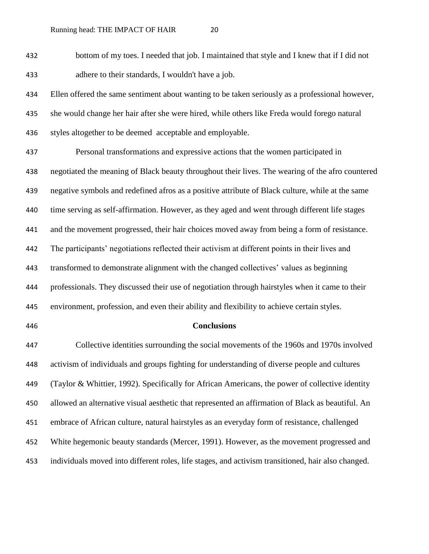bottom of my toes. I needed that job. I maintained that style and I knew that if I did not adhere to their standards, I wouldn't have a job.

 Ellen offered the same sentiment about wanting to be taken seriously as a professional however, she would change her hair after she were hired, while others like Freda would forego natural 436 styles altogether to be deemed acceptable and employable.

 Personal transformations and expressive actions that the women participated in negotiated the meaning of Black beauty throughout their lives. The wearing of the afro countered negative symbols and redefined afros as a positive attribute of Black culture, while at the same time serving as self-affirmation. However, as they aged and went through different life stages and the movement progressed, their hair choices moved away from being a form of resistance. The participants' negotiations reflected their activism at different points in their lives and transformed to demonstrate alignment with the changed collectives' values as beginning professionals. They discussed their use of negotiation through hairstyles when it came to their environment, profession, and even their ability and flexibility to achieve certain styles.

### **Conclusions**

 Collective identities surrounding the social movements of the 1960s and 1970s involved activism of individuals and groups fighting for understanding of diverse people and cultures (Taylor & Whittier, 1992). Specifically for African Americans, the power of collective identity allowed an alternative visual aesthetic that represented an affirmation of Black as beautiful. An embrace of African culture, natural hairstyles as an everyday form of resistance, challenged White hegemonic beauty standards (Mercer, 1991). However, as the movement progressed and individuals moved into different roles, life stages, and activism transitioned, hair also changed.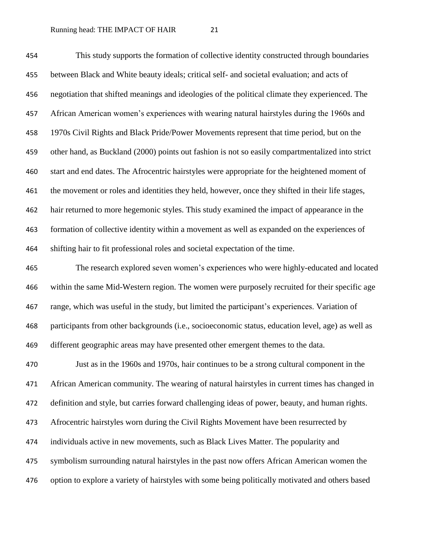This study supports the formation of collective identity constructed through boundaries between Black and White beauty ideals; critical self- and societal evaluation; and acts of negotiation that shifted meanings and ideologies of the political climate they experienced. The African American women's experiences with wearing natural hairstyles during the 1960s and 1970s Civil Rights and Black Pride/Power Movements represent that time period, but on the other hand, as Buckland (2000) points out fashion is not so easily compartmentalized into strict start and end dates. The Afrocentric hairstyles were appropriate for the heightened moment of the movement or roles and identities they held, however, once they shifted in their life stages, hair returned to more hegemonic styles. This study examined the impact of appearance in the formation of collective identity within a movement as well as expanded on the experiences of shifting hair to fit professional roles and societal expectation of the time.

 The research explored seven women's experiences who were highly-educated and located within the same Mid-Western region. The women were purposely recruited for their specific age range, which was useful in the study, but limited the participant's experiences. Variation of participants from other backgrounds (i.e., socioeconomic status, education level, age) as well as different geographic areas may have presented other emergent themes to the data.

 Just as in the 1960s and 1970s, hair continues to be a strong cultural component in the African American community. The wearing of natural hairstyles in current times has changed in definition and style, but carries forward challenging ideas of power, beauty, and human rights. Afrocentric hairstyles worn during the Civil Rights Movement have been resurrected by individuals active in new movements, such as Black Lives Matter. The popularity and symbolism surrounding natural hairstyles in the past now offers African American women the option to explore a variety of hairstyles with some being politically motivated and others based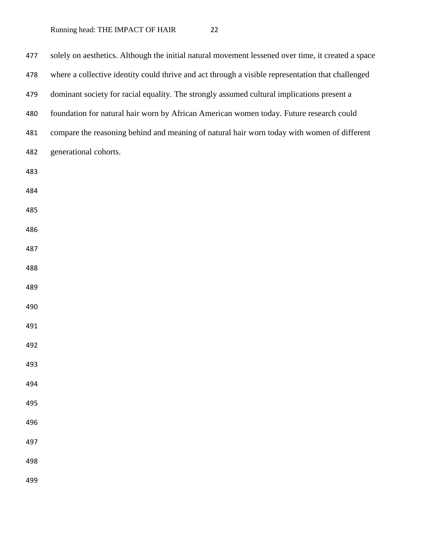| 477 | solely on aesthetics. Although the initial natural movement lessened over time, it created a space |
|-----|----------------------------------------------------------------------------------------------------|
| 478 | where a collective identity could thrive and act through a visible representation that challenged  |
| 479 | dominant society for racial equality. The strongly assumed cultural implications present a         |
| 480 | foundation for natural hair worn by African American women today. Future research could            |
| 481 | compare the reasoning behind and meaning of natural hair worn today with women of different        |
| 482 | generational cohorts.                                                                              |
| 483 |                                                                                                    |
| 484 |                                                                                                    |
| 485 |                                                                                                    |
| 486 |                                                                                                    |
| 487 |                                                                                                    |
| 488 |                                                                                                    |
| 489 |                                                                                                    |
| 490 |                                                                                                    |
| 491 |                                                                                                    |
| 492 |                                                                                                    |
| 493 |                                                                                                    |
| 494 |                                                                                                    |
| 495 |                                                                                                    |
| 496 |                                                                                                    |
| 497 |                                                                                                    |
| 498 |                                                                                                    |
| 499 |                                                                                                    |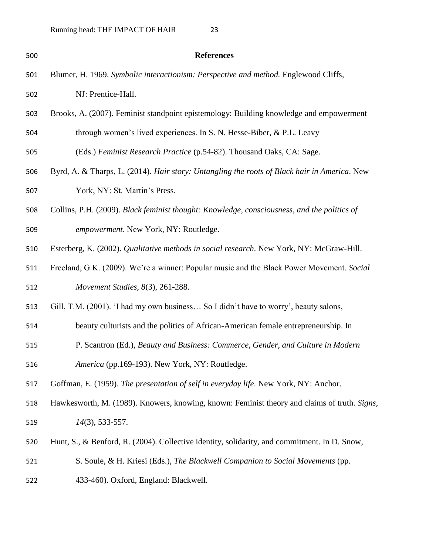| 500 | <b>References</b>                                                                            |
|-----|----------------------------------------------------------------------------------------------|
| 501 | Blumer, H. 1969. Symbolic interactionism: Perspective and method. Englewood Cliffs,          |
| 502 | NJ: Prentice-Hall.                                                                           |
| 503 | Brooks, A. (2007). Feminist standpoint epistemology: Building knowledge and empowerment      |
| 504 | through women's lived experiences. In S. N. Hesse-Biber, & P.L. Leavy                        |
| 505 | (Eds.) Feminist Research Practice (p.54-82). Thousand Oaks, CA: Sage.                        |
| 506 | Byrd, A. & Tharps, L. (2014). Hair story: Untangling the roots of Black hair in America. New |
| 507 | York, NY: St. Martin's Press.                                                                |
| 508 | Collins, P.H. (2009). Black feminist thought: Knowledge, consciousness, and the politics of  |
| 509 | empowerment. New York, NY: Routledge.                                                        |
| 510 | Esterberg, K. (2002). Qualitative methods in social research. New York, NY: McGraw-Hill.     |
| 511 | Freeland, G.K. (2009). We're a winner: Popular music and the Black Power Movement. Social    |
| 512 | Movement Studies, 8(3), 261-288.                                                             |
| 513 | Gill, T.M. (2001). 'I had my own business So I didn't have to worry', beauty salons,         |
| 514 | beauty culturists and the politics of African-American female entrepreneurship. In           |
| 515 | P. Scantron (Ed.), Beauty and Business: Commerce, Gender, and Culture in Modern              |
| 516 | America (pp.169-193). New York, NY: Routledge.                                               |
| 517 | Goffman, E. (1959). The presentation of self in everyday life. New York, NY: Anchor.         |
| 518 | Hawkesworth, M. (1989). Knowers, knowing, known: Feminist theory and claims of truth. Signs, |
| 519 | 14(3), 533-557.                                                                              |
| 520 | Hunt, S., & Benford, R. (2004). Collective identity, solidarity, and commitment. In D. Snow, |
| 521 | S. Soule, & H. Kriesi (Eds.), The Blackwell Companion to Social Movements (pp.               |
| 522 | 433-460). Oxford, England: Blackwell.                                                        |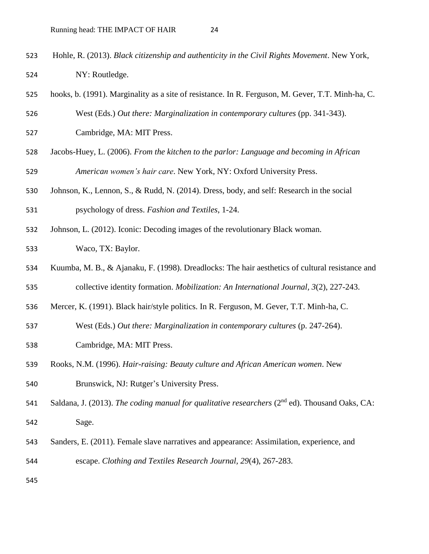- Hohle, R. (2013). *Black citizenship and authenticity in the Civil Rights Movement*. New York, NY: Routledge.
- hooks, b. (1991). Marginality as a site of resistance. In R. Ferguson, M. Gever, T.T. Minh-ha, C. West (Eds.) *Out there: Marginalization in contemporary cultures* (pp. 341-343).
- Cambridge, MA: MIT Press.
- Jacobs-Huey, L. (2006). *From the kitchen to the parlor: Language and becoming in African American women's hair care*. New York, NY: Oxford University Press.
- Johnson, K., Lennon, S., & Rudd, N. (2014). Dress, body, and self: Research in the social psychology of dress. *Fashion and Textiles*, 1-24.
- Johnson, L. (2012). Iconic: Decoding images of the revolutionary Black woman.
- Waco, TX: Baylor.
- Kuumba, M. B., & Ajanaku, F. (1998). Dreadlocks: The hair aesthetics of cultural resistance and
- collective identity formation. *Mobilization: An International Journal, 3*(2), 227-243.
- Mercer, K. (1991). Black hair/style politics. In R. Ferguson, M. Gever, T.T. Minh-ha, C.
- West (Eds.) *Out there: Marginalization in contemporary cultures* (p. 247-264).
- Cambridge, MA: MIT Press.
- Rooks, N.M. (1996). *Hair-raising: Beauty culture and African American women*. New
- Brunswick, NJ: Rutger's University Press.
- 541 Saldana, J. (2013). *The coding manual for qualitative researchers* (2<sup>nd</sup> ed). Thousand Oaks, CA: Sage.
- Sanders, E. (2011). Female slave narratives and appearance: Assimilation, experience, and escape. *Clothing and Textiles Research Journal, 29*(4), 267-283.
-